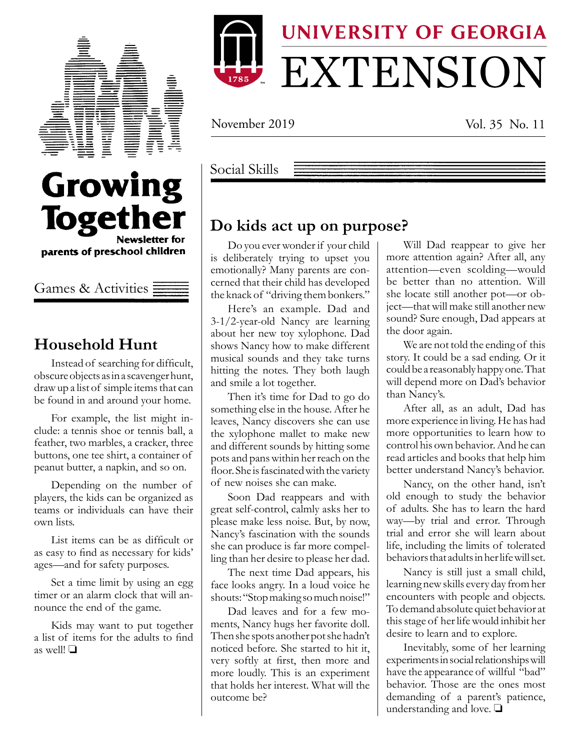

Growing



November 2019 Vol. 35 No. 11

Social Skills

### **Do kids act up on purpose?**

Do you ever wonder if your child is deliberately trying to upset you emotionally? Many parents are concerned that their child has developed the knack of "driving them bonkers."

Here's an example. Dad and 3-1/2-year-old Nancy are learning about her new toy xylophone. Dad shows Nancy how to make different musical sounds and they take turns hitting the notes. They both laugh and smile a lot together.

Then it's time for Dad to go do something else in the house. After he leaves, Nancy discovers she can use the xylophone mallet to make new and different sounds by hitting some pots and pans within her reach on the floor. She is fascinated with the variety of new noises she can make.

Soon Dad reappears and with great self-control, calmly asks her to please make less noise. But, by now, Nancy's fascination with the sounds she can produce is far more compelling than her desire to please her dad.

The next time Dad appears, his face looks angry. In a loud voice he shouts: "Stop making so much noise!"

Dad leaves and for a few moments, Nancy hugs her favorite doll. Then she spots another pot she hadn't noticed before. She started to hit it, very softly at first, then more and more loudly. This is an experiment that holds her interest. What will the outcome be?

Will Dad reappear to give her more attention again? After all, any attention—even scolding—would be better than no attention. Will she locate still another pot—or object—that will make still another new sound? Sure enough, Dad appears at the door again.

We are not told the ending of this story. It could be a sad ending. Or it could be a reasonably happy one. That will depend more on Dad's behavior than Nancy's.

After all, as an adult, Dad has more experience in living. He has had more opportunities to learn how to control his own behavior. And he can read articles and books that help him better understand Nancy's behavior.

Nancy, on the other hand, isn't old enough to study the behavior of adults. She has to learn the hard way—by trial and error. Through trial and error she will learn about life, including the limits of tolerated behaviors that adults in her life will set.

Nancy is still just a small child, learning new skills every day from her encounters with people and objects. To demand absolute quiet behavior at this stage of her life would inhibit her desire to learn and to explore.

Inevitably, some of her learning experiments in social relationships will have the appearance of willful "bad" behavior. Those are the ones most demanding of a parent's patience, understanding and love.  $\square$ 

**Together Newsletter for** parents of preschool children

Games & Activities

### **Household Hunt**

Instead of searching for difficult, obscure objects as in a scavenger hunt, draw up a list of simple items that can be found in and around your home.

For example, the list might include: a tennis shoe or tennis ball, a feather, two marbles, a cracker, three buttons, one tee shirt, a container of peanut butter, a napkin, and so on.

Depending on the number of players, the kids can be organized as teams or individuals can have their own lists.

List items can be as difficult or as easy to find as necessary for kids' ages—and for safety purposes.

Set a time limit by using an egg timer or an alarm clock that will announce the end of the game.

Kids may want to put together a list of items for the adults to find as well!  $\Box$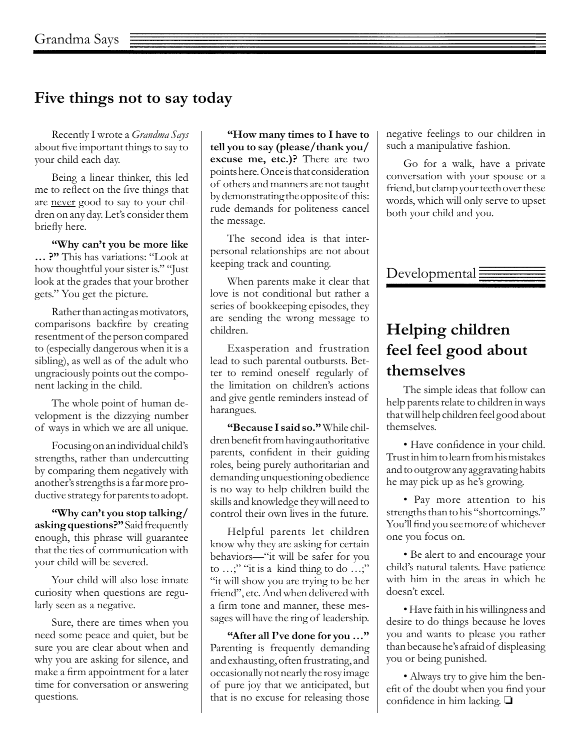### **Five things not to say today**

Recently I wrote a *Grandma Says*  about five important things to say to your child each day.

Being a linear thinker, this led me to reflect on the five things that are never good to say to your children on any day. Let's consider them briefly here.

**"Why can't you be more like … ?"** This has variations: "Look at how thoughtful your sister is." "Just look at the grades that your brother gets." You get the picture.

Rather than acting as motivators, comparisons backfire by creating resentment of the person compared to (especially dangerous when it is a sibling), as well as of the adult who ungraciously points out the component lacking in the child.

The whole point of human development is the dizzying number of ways in which we are all unique.

Focusing on an individual child's strengths, rather than undercutting by comparing them negatively with another's strengths is a far more productive strategy for parents to adopt.

**"Why can't you stop talking/ asking questions?"** Said frequently enough, this phrase will guarantee that the ties of communication with your child will be severed.

Your child will also lose innate curiosity when questions are regularly seen as a negative.

Sure, there are times when you need some peace and quiet, but be sure you are clear about when and why you are asking for silence, and make a firm appointment for a later time for conversation or answering questions.

**"How many times to I have to tell you to say (please/thank you/ excuse me, etc.)?** There are two points here. Once is that consideration of others and manners are not taught by demonstrating the opposite of this: rude demands for politeness cancel the message.

The second idea is that interpersonal relationships are not about keeping track and counting.

When parents make it clear that love is not conditional but rather a series of bookkeeping episodes, they are sending the wrong message to children.

Exasperation and frustration lead to such parental outbursts. Better to remind oneself regularly of the limitation on children's actions and give gentle reminders instead of harangues.

**"Because I said so."** While children benefit from having authoritative parents, confident in their guiding roles, being purely authoritarian and demanding unquestioning obedience is no way to help children build the skills and knowledge they will need to control their own lives in the future.

Helpful parents let children know why they are asking for certain behaviors—"it will be safer for you to …;" "it is a kind thing to do …;" "it will show you are trying to be her friend", etc. And when delivered with a firm tone and manner, these messages will have the ring of leadership.

**"After all I've done for you …"** Parenting is frequently demanding and exhausting, often frustrating, and occasionally not nearly the rosy image of pure joy that we anticipated, but that is no excuse for releasing those negative feelings to our children in such a manipulative fashion.

Go for a walk, have a private conversation with your spouse or a friend, but clamp your teeth over these words, which will only serve to upset both your child and you.



# **Helping children feel feel good about themselves**

The simple ideas that follow can help parents relate to children in ways that will help children feel good about themselves.

• Have confidence in your child. Trust in him to learn from his mistakes and to outgrow any aggravating habits he may pick up as he's growing.

• Pay more attention to his strengths than to his "shortcomings." You'll find you see more of whichever one you focus on.

• Be alert to and encourage your child's natural talents. Have patience with him in the areas in which he doesn't excel.

• Have faith in his willingness and desire to do things because he loves you and wants to please you rather than because he's afraid of displeasing you or being punished.

• Always try to give him the benefit of the doubt when you find your confidence in him lacking.  $\Box$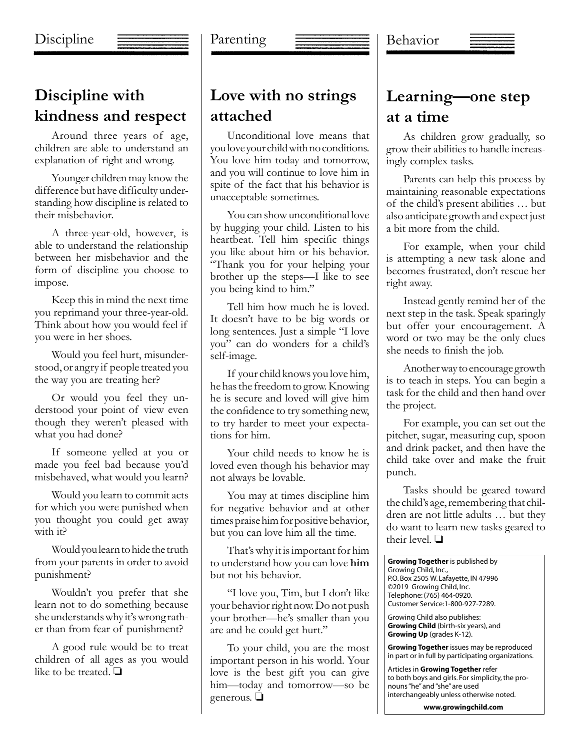### Discipline

#### Parenting



## **Discipline with kindness and respect**

Around three years of age, children are able to understand an explanation of right and wrong.

Younger children may know the difference but have difficulty understanding how discipline is related to their misbehavior.

A three-year-old, however, is able to understand the relationship between her misbehavior and the form of discipline you choose to impose.

Keep this in mind the next time you reprimand your three-year-old. Think about how you would feel if you were in her shoes.

Would you feel hurt, misunderstood, or angry if people treated you the way you are treating her?

Or would you feel they understood your point of view even though they weren't pleased with what you had done?

If someone yelled at you or made you feel bad because you'd misbehaved, what would you learn?

Would you learn to commit acts for which you were punished when you thought you could get away with it?

Would you learn to hide the truth from your parents in order to avoid punishment?

Wouldn't you prefer that she learn not to do something because she understands why it's wrong rather than from fear of punishment?

A good rule would be to treat children of all ages as you would like to be treated.  $\Box$ 

# **Love with no strings attached**

Unconditional love means that you love your child with no conditions. You love him today and tomorrow, and you will continue to love him in spite of the fact that his behavior is unacceptable sometimes.

You can show unconditional love by hugging your child. Listen to his heartbeat. Tell him specific things you like about him or his behavior. "Thank you for your helping your brother up the steps—I like to see you being kind to him."

Tell him how much he is loved. It doesn't have to be big words or long sentences. Just a simple "I love you" can do wonders for a child's self-image.

If your child knows you love him, he has the freedom to grow. Knowing he is secure and loved will give him the confidence to try something new, to try harder to meet your expectations for him.

Your child needs to know he is loved even though his behavior may not always be lovable.

You may at times discipline him for negative behavior and at other times praise him for positive behavior, but you can love him all the time.

That's why it is important for him to understand how you can love **him**  but not his behavior.

"I love you, Tim, but I don't like your behavior right now. Do not push your brother—he's smaller than you are and he could get hurt."

To your child, you are the most important person in his world. Your love is the best gift you can give him—today and tomorrow—so be generous.  $\Box$ 

# **Learning—one step at a time**

As children grow gradually, so grow their abilities to handle increasingly complex tasks.

Parents can help this process by maintaining reasonable expectations of the child's present abilities … but also anticipate growth and expect just a bit more from the child.

For example, when your child is attempting a new task alone and becomes frustrated, don't rescue her right away.

Instead gently remind her of the next step in the task. Speak sparingly but offer your encouragement. A word or two may be the only clues she needs to finish the job.

Another way to encourage growth is to teach in steps. You can begin a task for the child and then hand over the project.

For example, you can set out the pitcher, sugar, measuring cup, spoon and drink packet, and then have the child take over and make the fruit punch.

Tasks should be geared toward the child's age, remembering that children are not little adults … but they do want to learn new tasks geared to their level.  $\Box$ 

| <b>Growing Together</b> is published by<br>Growing Child, Inc.,<br>P.O. Box 2505 W. Lafayette, IN 47996<br>©2019 Growing Child, Inc.<br>Telephone: (765) 464-0920.<br>Customer Service: 1-800-927-7289. |
|---------------------------------------------------------------------------------------------------------------------------------------------------------------------------------------------------------|
| Growing Child also publishes:<br>Growing Child (birth-six years), and<br>Growing Up (grades K-12).                                                                                                      |
| <b>Growing Together</b> issues may be reproduced<br>in part or in full by participating organizations.                                                                                                  |
| Articles in Growing Together refer<br>to both boys and girls. For simplicity, the pro-<br>nouns "he" and "she" are used<br>interchangeably unless otherwise noted.                                      |
| www.growingchild.com                                                                                                                                                                                    |